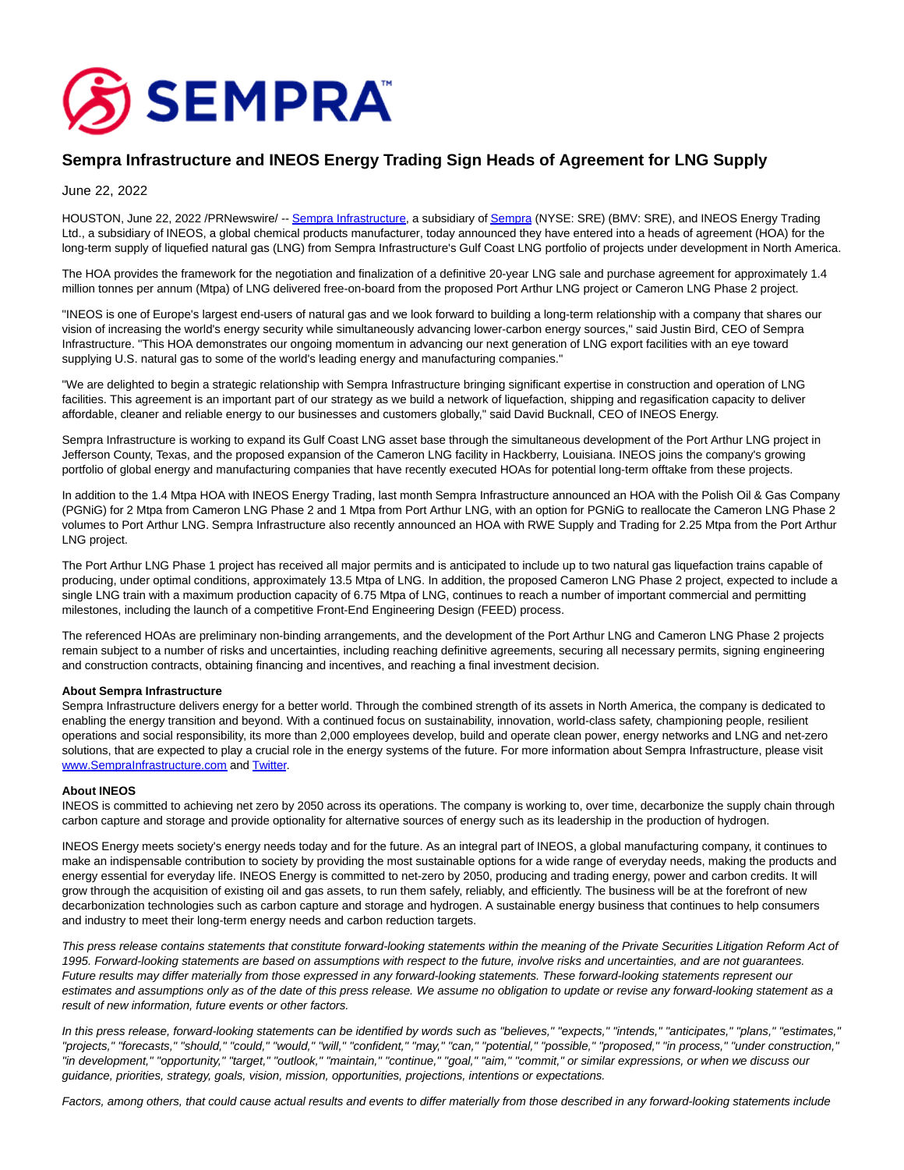

## **Sempra Infrastructure and INEOS Energy Trading Sign Heads of Agreement for LNG Supply**

June 22, 2022

HOUSTON, June 22, 2022 /PRNewswire/ -- [Sempra Infrastructure,](https://c212.net/c/link/?t=0&l=en&o=3574217-1&h=3866019181&u=https%3A%2F%2Fsemprainfrastructure.com%2F&a=Sempra+Infrastructure) a subsidiary o[f Sempra \(](https://c212.net/c/link/?t=0&l=en&o=3574217-1&h=2621116675&u=http%3A%2F%2Fwww.sempra.com%2F&a=Sempra)NYSE: SRE) (BMV: SRE), and INEOS Energy Trading Ltd., a subsidiary of INEOS, a global chemical products manufacturer, today announced they have entered into a heads of agreement (HOA) for the long-term supply of liquefied natural gas (LNG) from Sempra Infrastructure's Gulf Coast LNG portfolio of projects under development in North America.

The HOA provides the framework for the negotiation and finalization of a definitive 20-year LNG sale and purchase agreement for approximately 1.4 million tonnes per annum (Mtpa) of LNG delivered free-on-board from the proposed Port Arthur LNG project or Cameron LNG Phase 2 project.

"INEOS is one of Europe's largest end-users of natural gas and we look forward to building a long-term relationship with a company that shares our vision of increasing the world's energy security while simultaneously advancing lower-carbon energy sources," said Justin Bird, CEO of Sempra Infrastructure. "This HOA demonstrates our ongoing momentum in advancing our next generation of LNG export facilities with an eye toward supplying U.S. natural gas to some of the world's leading energy and manufacturing companies."

"We are delighted to begin a strategic relationship with Sempra Infrastructure bringing significant expertise in construction and operation of LNG facilities. This agreement is an important part of our strategy as we build a network of liquefaction, shipping and regasification capacity to deliver affordable, cleaner and reliable energy to our businesses and customers globally," said David Bucknall, CEO of INEOS Energy.

Sempra Infrastructure is working to expand its Gulf Coast LNG asset base through the simultaneous development of the Port Arthur LNG project in Jefferson County, Texas, and the proposed expansion of the Cameron LNG facility in Hackberry, Louisiana. INEOS joins the company's growing portfolio of global energy and manufacturing companies that have recently executed HOAs for potential long-term offtake from these projects.

In addition to the 1.4 Mtpa HOA with INEOS Energy Trading, last month Sempra Infrastructure announced an HOA with the Polish Oil & Gas Company (PGNiG) for 2 Mtpa from Cameron LNG Phase 2 and 1 Mtpa from Port Arthur LNG, with an option for PGNiG to reallocate the Cameron LNG Phase 2 volumes to Port Arthur LNG. Sempra Infrastructure also recently announced an HOA with RWE Supply and Trading for 2.25 Mtpa from the Port Arthur LNG project.

The Port Arthur LNG Phase 1 project has received all major permits and is anticipated to include up to two natural gas liquefaction trains capable of producing, under optimal conditions, approximately 13.5 Mtpa of LNG. In addition, the proposed Cameron LNG Phase 2 project, expected to include a single LNG train with a maximum production capacity of 6.75 Mtpa of LNG, continues to reach a number of important commercial and permitting milestones, including the launch of a competitive Front-End Engineering Design (FEED) process.

The referenced HOAs are preliminary non-binding arrangements, and the development of the Port Arthur LNG and Cameron LNG Phase 2 projects remain subject to a number of risks and uncertainties, including reaching definitive agreements, securing all necessary permits, signing engineering and construction contracts, obtaining financing and incentives, and reaching a final investment decision.

## **About Sempra Infrastructure**

Sempra Infrastructure delivers energy for a better world. Through the combined strength of its assets in North America, the company is dedicated to enabling the energy transition and beyond. With a continued focus on sustainability, innovation, world-class safety, championing people, resilient operations and social responsibility, its more than 2,000 employees develop, build and operate clean power, energy networks and LNG and net-zero solutions, that are expected to play a crucial role in the energy systems of the future. For more information about Sempra Infrastructure, please visit [www.SempraInfrastructure.com a](https://c212.net/c/link/?t=0&l=en&o=3574217-1&h=3089793573&u=http%3A%2F%2Fwww.semprainfrastructure.com%2F&a=www.SempraInfrastructure.com)nd [Twitter.](https://c212.net/c/link/?t=0&l=en&o=3574217-1&h=2811354159&u=https%3A%2F%2Ftwitter.com%2FSempraInfra&a=Twitter)

## **About INEOS**

INEOS is committed to achieving net zero by 2050 across its operations. The company is working to, over time, decarbonize the supply chain through carbon capture and storage and provide optionality for alternative sources of energy such as its leadership in the production of hydrogen.

INEOS Energy meets society's energy needs today and for the future. As an integral part of INEOS, a global manufacturing company, it continues to make an indispensable contribution to society by providing the most sustainable options for a wide range of everyday needs, making the products and energy essential for everyday life. INEOS Energy is committed to net-zero by 2050, producing and trading energy, power and carbon credits. It will grow through the acquisition of existing oil and gas assets, to run them safely, reliably, and efficiently. The business will be at the forefront of new decarbonization technologies such as carbon capture and storage and hydrogen. A sustainable energy business that continues to help consumers and industry to meet their long-term energy needs and carbon reduction targets.

This press release contains statements that constitute forward-looking statements within the meaning of the Private Securities Litigation Reform Act of 1995. Forward-looking statements are based on assumptions with respect to the future, involve risks and uncertainties, and are not guarantees. Future results may differ materially from those expressed in any forward-looking statements. These forward-looking statements represent our estimates and assumptions only as of the date of this press release. We assume no obligation to update or revise any forward-looking statement as a result of new information, future events or other factors.

In this press release, forward-looking statements can be identified by words such as "believes," "expects," "intends," "anticipates," "plans," "estimates," "projects," "forecasts," "should," "could," "would," "will," "confident," "may," "can," "potential," "possible," "proposed," "in process," "under construction," "in development," "opportunity," "target," "outlook," "maintain," "continue," "goal," "aim," "commit," or similar expressions, or when we discuss our guidance, priorities, strategy, goals, vision, mission, opportunities, projections, intentions or expectations.

Factors, among others, that could cause actual results and events to differ materially from those described in any forward-looking statements include